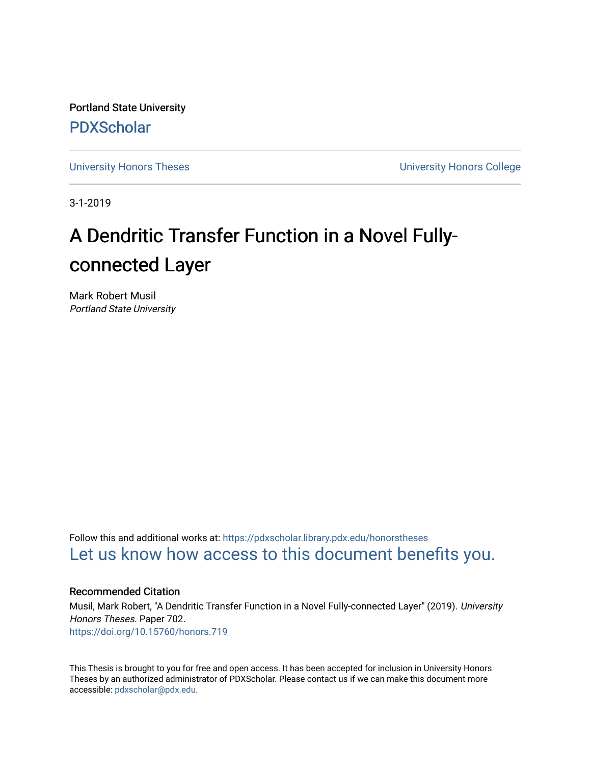Portland State University [PDXScholar](https://pdxscholar.library.pdx.edu/)

[University Honors Theses](https://pdxscholar.library.pdx.edu/honorstheses) [University Honors College](https://pdxscholar.library.pdx.edu/honors) 

3-1-2019

# A Dendritic Transfer Function in a Novel Fullyconnected Layer

Mark Robert Musil Portland State University

Follow this and additional works at: [https://pdxscholar.library.pdx.edu/honorstheses](https://pdxscholar.library.pdx.edu/honorstheses?utm_source=pdxscholar.library.pdx.edu%2Fhonorstheses%2F702&utm_medium=PDF&utm_campaign=PDFCoverPages)  [Let us know how access to this document benefits you.](http://library.pdx.edu/services/pdxscholar-services/pdxscholar-feedback/) 

## Recommended Citation

Musil, Mark Robert, "A Dendritic Transfer Function in a Novel Fully-connected Layer" (2019). University Honors Theses. Paper 702. <https://doi.org/10.15760/honors.719>

This Thesis is brought to you for free and open access. It has been accepted for inclusion in University Honors Theses by an authorized administrator of PDXScholar. Please contact us if we can make this document more accessible: [pdxscholar@pdx.edu.](mailto:pdxscholar@pdx.edu)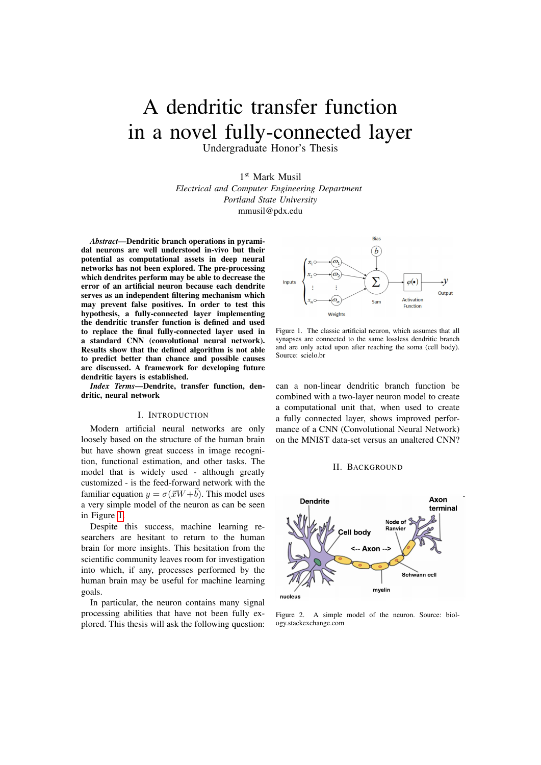# A dendritic transfer function in a novel fully-connected layer

Undergraduate Honor's Thesis

1 st Mark Musil *Electrical and Computer Engineering Department Portland State University* mmusil@pdx.edu

*Abstract*—Dendritic branch operations in pyramidal neurons are well understood in-vivo but their potential as computational assets in deep neural networks has not been explored. The pre-processing which dendrites perform may be able to decrease the error of an artificial neuron because each dendrite serves as an independent filtering mechanism which may prevent false positives. In order to test this hypothesis, a fully-connected layer implementing the dendritic transfer function is defined and used to replace the final fully-connected layer used in a standard CNN (convolutional neural network). Results show that the defined algorithm is not able to predict better than chance and possible causes are discussed. A framework for developing future dendritic layers is established.

*Index Terms*—Dendrite, transfer function, dendritic, neural network

### I. INTRODUCTION

Modern artificial neural networks are only loosely based on the structure of the human brain but have shown great success in image recognition, functional estimation, and other tasks. The model that is widely used - although greatly customized - is the feed-forward network with the familiar equation  $y = \sigma(\vec{x}W + \vec{b})$ . This model uses a very simple model of the neuron as can be seen in Figure [1.](#page-1-0)

Despite this success, machine learning researchers are hesitant to return to the human brain for more insights. This hesitation from the scientific community leaves room for investigation into which, if any, processes performed by the human brain may be useful for machine learning goals.

In particular, the neuron contains many signal processing abilities that have not been fully explored. This thesis will ask the following question:



<span id="page-1-0"></span>Figure 1. The classic artificial neuron, which assumes that all synapses are connected to the same lossless dendritic branch and are only acted upon after reaching the soma (cell body). Source: scielo.br

can a non-linear dendritic branch function be combined with a two-layer neuron model to create a computational unit that, when used to create a fully connected layer, shows improved performance of a CNN (Convolutional Neural Network) on the MNIST data-set versus an unaltered CNN?

#### II. BACKGROUND



<span id="page-1-1"></span>Figure 2. A simple model of the neuron. Source: biology.stackexchange.com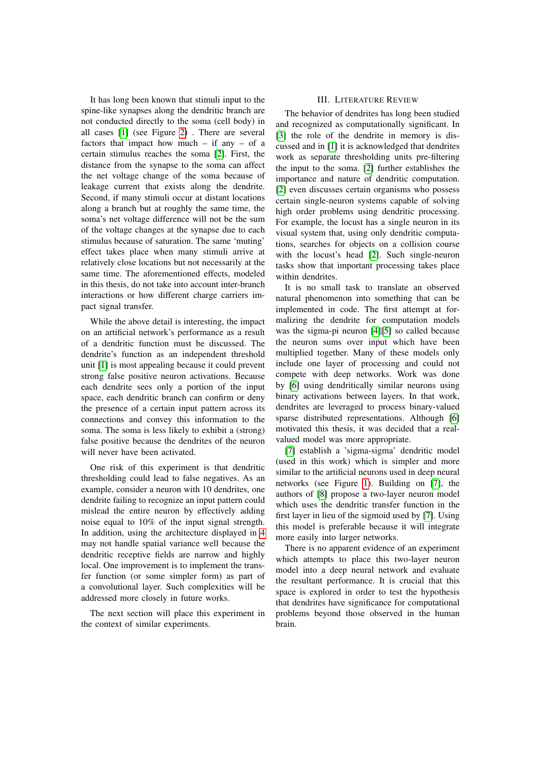It has long been known that stimuli input to the spine-like synapses along the dendritic branch are not conducted directly to the soma (cell body) in all cases [\[1\]](#page-5-0) (see Figure [2\)](#page-1-1) . There are several factors that impact how much  $-$  if any  $-$  of a certain stimulus reaches the soma [\[2\]](#page-5-1). First, the distance from the synapse to the soma can affect the net voltage change of the soma because of leakage current that exists along the dendrite. Second, if many stimuli occur at distant locations along a branch but at roughly the same time, the soma's net voltage difference will not be the sum of the voltage changes at the synapse due to each stimulus because of saturation. The same 'muting' effect takes place when many stimuli arrive at relatively close locations but not necessarily at the same time. The aforementioned effects, modeled in this thesis, do not take into account inter-branch interactions or how different charge carriers impact signal transfer.

While the above detail is interesting, the impact on an artificial network's performance as a result of a dendritic function must be discussed. The dendrite's function as an independent threshold unit [\[1\]](#page-5-0) is most appealing because it could prevent strong false positive neuron activations. Because each dendrite sees only a portion of the input space, each dendritic branch can confirm or deny the presence of a certain input pattern across its connections and convey this information to the soma. The soma is less likely to exhibit a (strong) false positive because the dendrites of the neuron will never have been activated.

One risk of this experiment is that dendritic thresholding could lead to false negatives. As an example, consider a neuron with 10 dendrites, one dendrite failing to recognize an input pattern could mislead the entire neuron by effectively adding noise equal to 10% of the input signal strength. In addition, using the architecture displayed in [4](#page-3-0) may not handle spatial variance well because the dendritic receptive fields are narrow and highly local. One improvement is to implement the transfer function (or some simpler form) as part of a convolutional layer. Such complexities will be addressed more closely in future works.

The next section will place this experiment in the context of similar experiments.

### III. LITERATURE REVIEW

The behavior of dendrites has long been studied and recognized as computationally significant. In [\[3\]](#page-5-2) the role of the dendrite in memory is discussed and in [\[1\]](#page-5-0) it is acknowledged that dendrites work as separate thresholding units pre-filtering the input to the soma. [\[2\]](#page-5-1) further establishes the importance and nature of dendritic computation. [\[2\]](#page-5-1) even discusses certain organisms who possess certain single-neuron systems capable of solving high order problems using dendritic processing. For example, the locust has a single neuron in its visual system that, using only dendritic computations, searches for objects on a collision course with the locust's head [\[2\]](#page-5-1). Such single-neuron tasks show that important processing takes place within dendrites.

It is no small task to translate an observed natural phenomenon into something that can be implemented in code. The first attempt at formalizing the dendrite for computation models was the sigma-pi neuron [\[4\]](#page-5-3)[\[5\]](#page-5-4) so called because the neuron sums over input which have been multiplied together. Many of these models only include one layer of processing and could not compete with deep networks. Work was done by [\[6\]](#page-5-5) using dendritically similar neurons using binary activations between layers. In that work, dendrites are leveraged to process binary-valued sparse distributed representations. Although [\[6\]](#page-5-5) motivated this thesis, it was decided that a realvalued model was more appropriate.

[\[7\]](#page-5-6) establish a 'sigma-sigma' dendritic model (used in this work) which is simpler and more similar to the artificial neurons used in deep neural networks (see Figure [1\)](#page-1-0). Building on [\[7\]](#page-5-6), the authors of [\[8\]](#page-5-7) propose a two-layer neuron model which uses the dendritic transfer function in the first layer in lieu of the sigmoid used by [\[7\]](#page-5-6). Using this model is preferable because it will integrate more easily into larger networks.

There is no apparent evidence of an experiment which attempts to place this two-layer neuron model into a deep neural network and evaluate the resultant performance. It is crucial that this space is explored in order to test the hypothesis that dendrites have significance for computational problems beyond those observed in the human brain.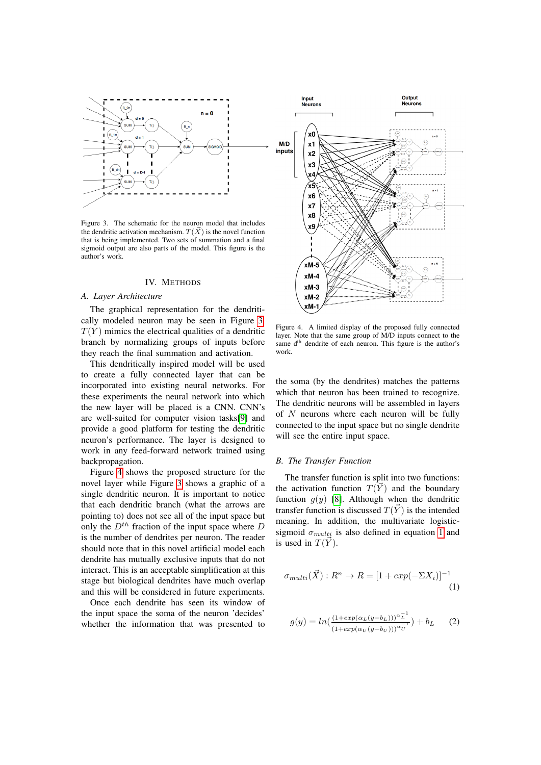

<span id="page-3-1"></span>Figure 3. The schematic for the neuron model that includes the dendritic activation mechanism.  $T(\vec{X})$  is the novel function that is being implemented. Two sets of summation and a final sigmoid output are also parts of the model. This figure is the author's work.

#### IV. METHODS

#### *A. Layer Architecture*

The graphical representation for the dendritically modeled neuron may be seen in Figure [3.](#page-3-1)  $T(Y)$  mimics the electrical qualities of a dendritic branch by normalizing groups of inputs before they reach the final summation and activation.

This dendritically inspired model will be used to create a fully connected layer that can be incorporated into existing neural networks. For these experiments the neural network into which the new layer will be placed is a CNN. CNN's are well-suited for computer vision tasks[\[9\]](#page-5-8) and provide a good platform for testing the dendritic neuron's performance. The layer is designed to work in any feed-forward network trained using backpropagation.

Figure [4](#page-3-0) shows the proposed structure for the novel layer while Figure [3](#page-3-1) shows a graphic of a single dendritic neuron. It is important to notice that each dendritic branch (what the arrows are pointing to) does not see all of the input space but only the  $D^{th}$  fraction of the input space where D is the number of dendrites per neuron. The reader should note that in this novel artificial model each dendrite has mutually exclusive inputs that do not interact. This is an acceptable simplification at this stage but biological dendrites have much overlap and this will be considered in future experiments.

Once each dendrite has seen its window of the input space the soma of the neuron 'decides' whether the information that was presented to



<span id="page-3-0"></span>Figure 4. A limited display of the proposed fully connected layer. Note that the same group of M/D inputs connect to the same d<sup>th</sup> dendrite of each neuron. This figure is the author's work.

the soma (by the dendrites) matches the patterns which that neuron has been trained to recognize. The dendritic neurons will be assembled in layers of  $N$  neurons where each neuron will be fully connected to the input space but no single dendrite will see the entire input space.

#### *B. The Transfer Function*

The transfer function is split into two functions: the activation function  $T(\vec{Y})$  and the boundary function  $q(y)$  [\[8\]](#page-5-7). Although when the dendritic transfer function is discussed  $T(\overrightarrow{Y})$  is the intended meaning. In addition, the multivariate logisticsigmoid  $\sigma_{multi}$  is also defined in equation [1](#page-3-2) and is used in  $T(\vec{Y})$ .

<span id="page-3-2"></span>
$$
\sigma_{multi}(\vec{X}) : R^n \to R = [1 + exp(-\Sigma X_i)]^{-1}
$$
\n(1)

$$
g(y) = ln\left(\frac{\left(1 + exp(\alpha_L(y - b_L))\right)^{\alpha_L^{-1}}}{\left(1 + exp(\alpha_U(y - b_U))\right)^{\alpha_U^{-1}}}\right) + b_L \tag{2}
$$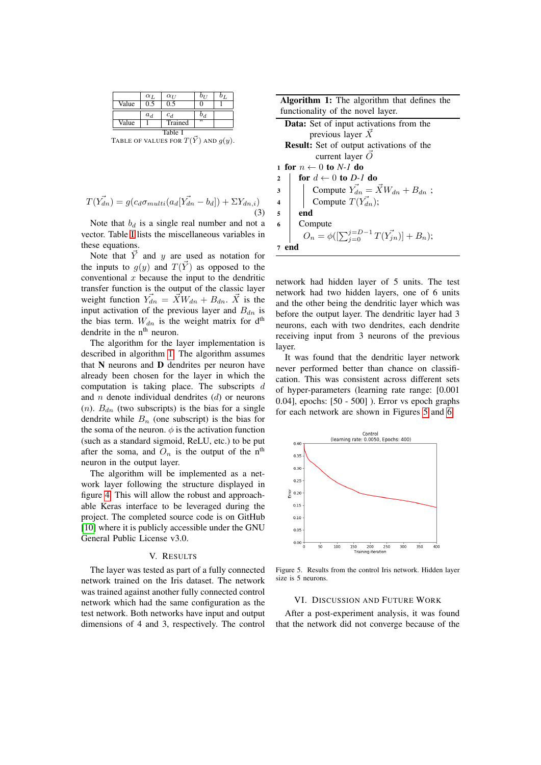|       | $\alpha_L$ | $\alpha_{U}$ | $b_{II}$ | 0 <sub>T</sub> |
|-------|------------|--------------|----------|----------------|
| Value | 0.5        | 0.5          |          |                |
|       | $a_d$      | $c_d$        | $b_d$    |                |
| Value |            | Trained      | ,,       |                |
|       |            |              |          |                |

<span id="page-4-0"></span>Table I<br>TABLE OF VALUES FOR  $T(\vec{Y})$  AND  $g(y)$ .

$$
T(\vec{Y_{dn}}) = g(c_d \sigma_{multi}(a_d[\vec{Y_{dn}} - b_d]) + \Sigma Y_{dn,i})
$$
\n(3)

Note that  $b_d$  is a single real number and not a vector. Table [I](#page-4-0) lists the miscellaneous variables in these equations.

Note that  $\vec{Y}$  and y are used as notation for the inputs to  $q(y)$  and  $T(\overrightarrow{Y})$  as opposed to the conventional  $x$  because the input to the dendritic transfer function is the output of the classic layer weight function  $\vec{Y}_{dn} = \vec{X}W_{dn} + B_{dn}$ .  $\vec{X}$  is the input activation of the previous layer and  $B_{dn}$  is the bias term.  $W_{dn}$  is the weight matrix for d<sup>th</sup> dendrite in the  $n<sup>th</sup>$  neuron.

The algorithm for the layer implementation is described in algorithm [1.](#page-4-1) The algorithm assumes that  $N$  neurons and  $D$  dendrites per neuron have already been chosen for the layer in which the computation is taking place. The subscripts d and  $n$  denote individual dendrites  $(d)$  or neurons  $(n)$ .  $B_{dn}$  (two subscripts) is the bias for a single dendrite while  $B_n$  (one subscript) is the bias for the soma of the neuron.  $\phi$  is the activation function (such as a standard sigmoid, ReLU, etc.) to be put after the soma, and  $O_n$  is the output of the n<sup>th</sup> neuron in the output layer.

<span id="page-4-1"></span>The algorithm will be implemented as a network layer following the structure displayed in figure [4.](#page-3-0) This will allow the robust and approachable Keras interface to be leveraged during the project. The completed source code is on GitHub [\[10\]](#page-5-9) where it is publicly accessible under the GNU General Public License v3.0.

#### V. RESULTS

The layer was tested as part of a fully connected network trained on the Iris dataset. The network was trained against another fully connected control network which had the same configuration as the test network. Both networks have input and output dimensions of 4 and 3, respectively. The control

| <b>Algorithm 1:</b> The algorithm that defines the |  |  |
|----------------------------------------------------|--|--|
| functionality of the novel layer.                  |  |  |

| <b>Data:</b> Set of input activations from the                                                                    |  |  |  |  |
|-------------------------------------------------------------------------------------------------------------------|--|--|--|--|
| previous layer $\overrightarrow{X}$                                                                               |  |  |  |  |
| <b>Result:</b> Set of output activations of the                                                                   |  |  |  |  |
| current layer $\vec{O}$                                                                                           |  |  |  |  |
| 1 for $n \leftarrow 0$ to N-1 do                                                                                  |  |  |  |  |
| for $d \leftarrow 0$ to D-1 do<br>$\overline{\mathbf{2}}$                                                         |  |  |  |  |
| Compute $\overrightarrow{Y}_{dn} = \overrightarrow{X}W_{dn} + B_{dn}$ ;<br>Compute $T(\overrightarrow{Y}_{dn})$ ; |  |  |  |  |
|                                                                                                                   |  |  |  |  |
| end                                                                                                               |  |  |  |  |
| 6<br>Compute                                                                                                      |  |  |  |  |
| $O_n = \phi([\sum_{j=0}^{j=D-1} T(\vec{Y_{jn}})] + B_n);$                                                         |  |  |  |  |
| 7<br>end                                                                                                          |  |  |  |  |
|                                                                                                                   |  |  |  |  |

network had hidden layer of 5 units. The test network had two hidden layers, one of 6 units and the other being the dendritic layer which was before the output layer. The dendritic layer had 3 neurons, each with two dendrites, each dendrite receiving input from 3 neurons of the previous layer.

It was found that the dendritic layer network never performed better than chance on classification. This was consistent across different sets of hyper-parameters (learning rate range: [0.001 0.04], epochs: [50 - 500] ). Error vs epoch graphs for each network are shown in Figures [5](#page-4-2) and [6.](#page-5-10)



<span id="page-4-2"></span>Figure 5. Results from the control Iris network. Hidden layer size is 5 neurons.

#### VI. DISCUSSION AND FUTURE WORK

After a post-experiment analysis, it was found that the network did not converge because of the